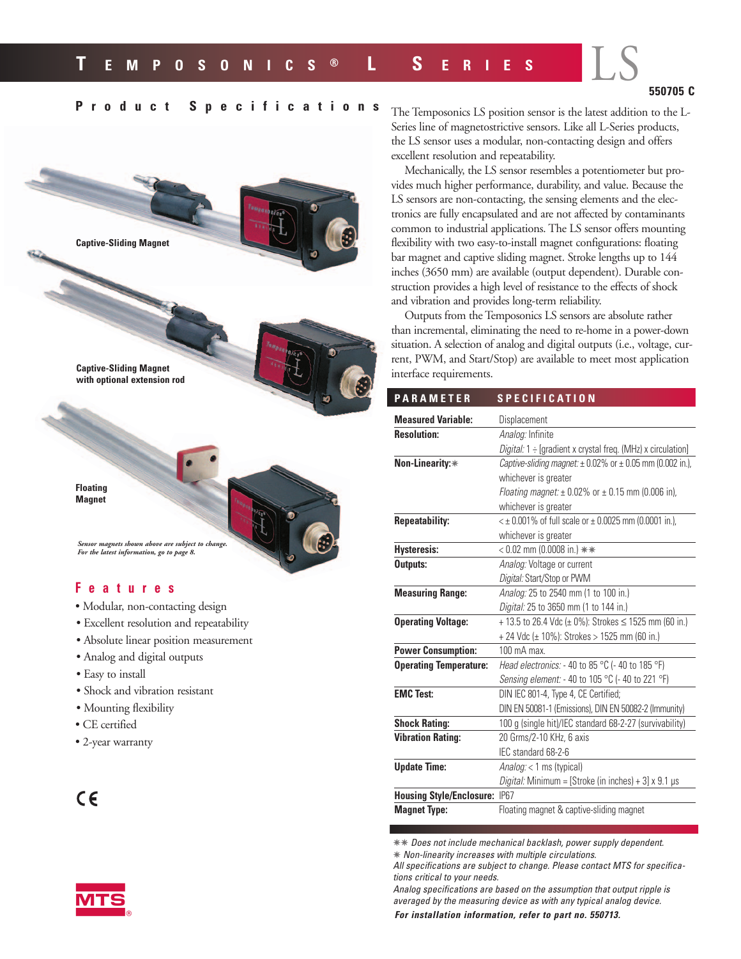## **550705 C**

LS

## **Product Specifications**

**Captive-Sliding Magnet**

**Captive-Sliding Magnet with optional extension rod**

**Floating Magnet**

*Sensor magnets shown above are subject to change. For the latest information, go to page 8.*

### **Features**

- Modular, non-contacting design
- Excellent resolution and repeatability
- Absolute linear position measurement
- Analog and digital outputs
- Easy to install
- Shock and vibration resistant
- Mounting flexibility
- CE certified
- 2-year warranty





The Temposonics LS position sensor is the latest addition to the L-Series line of magnetostrictive sensors. Like all L-Series products, the LS sensor uses a modular, non-contacting design and offers excellent resolution and repeatability.

Mechanically, the LS sensor resembles a potentiometer but provides much higher performance, durability, and value. Because the LS sensors are non-contacting, the sensing elements and the electronics are fully encapsulated and are not affected by contaminants common to industrial applications. The LS sensor offers mounting flexibility with two easy-to-install magnet configurations: floating bar magnet and captive sliding magnet. Stroke lengths up to 144 inches (3650 mm) are available (output dependent). Durable construction provides a high level of resistance to the effects of shock and vibration and provides long-term reliability.

Outputs from the Temposonics LS sensors are absolute rather than incremental, eliminating the need to re-home in a power-down situation. A selection of analog and digital outputs (i.e., voltage, current, PWM, and Start/Stop) are available to meet most application interface requirements.

| <b>PARAMETER</b>                | <b>SPECIFICATION</b>                                              |
|---------------------------------|-------------------------------------------------------------------|
| <b>Measured Variable:</b>       | Displacement                                                      |
| <b>Resolution:</b>              | Analog: Infinite                                                  |
|                                 | Digital: 1 ÷ [gradient x crystal freq. (MHz) x circulation]       |
| Non-Linearity:*                 | Captive-sliding magnet: $\pm$ 0.02% or $\pm$ 0.05 mm (0.002 in.), |
|                                 | whichever is greater                                              |
|                                 | <i>Floating magnet:</i> $\pm$ 0.02% or $\pm$ 0.15 mm (0.006 in),  |
|                                 | whichever is greater                                              |
| <b>Repeatability:</b>           | $\leq \pm 0.001\%$ of full scale or $\pm 0.0025$ mm (0.0001 in.), |
|                                 | whichever is greater                                              |
| <b>Hysteresis:</b>              | $< 0.02$ mm (0.0008 in.) **                                       |
| Outputs:                        | Analog: Voltage or current                                        |
|                                 | Digital: Start/Stop or PWM                                        |
| <b>Measuring Range:</b>         | Analog: 25 to 2540 mm (1 to 100 in.)                              |
|                                 | Digital: 25 to 3650 mm (1 to 144 in.)                             |
| <b>Operating Voltage:</b>       | + 13.5 to 26.4 Vdc ( $\pm$ 0%): Strokes $\leq$ 1525 mm (60 in.)   |
|                                 | + 24 Vdc (± 10%): Strokes > 1525 mm (60 in.)                      |
| <b>Power Consumption:</b>       | 100 mA max.                                                       |
| <b>Operating Temperature:</b>   | Head electronics: - 40 to 85 °C (- 40 to 185 °F)                  |
|                                 | <i>Sensing element:</i> $-$ 40 to 105 °C ( $-$ 40 to 221 °F)      |
| <b>EMC Test:</b>                | DIN IEC 801-4, Type 4, CE Certified;                              |
|                                 | DIN EN 50081-1 (Emissions), DIN EN 50082-2 (Immunity)             |
| <b>Shock Rating:</b>            | 100 g (single hit)/IEC standard 68-2-27 (survivability)           |
| <b>Vibration Rating:</b>        | 20 Grms/2-10 KHz, 6 axis                                          |
|                                 | IEC standard 68-2-6                                               |
| <b>Update Time:</b>             | Analog: < 1 ms (typical)                                          |
|                                 | Digital: Minimum = [Stroke (in inches) + 3] x 9.1 µs              |
| <b>Housing Style/Enclosure:</b> | <b>IP67</b>                                                       |
| <b>Magnet Type:</b>             | Floating magnet & captive-sliding magnet                          |

✵✵ Does not include mechanical backlash, power supply dependent.

✵ Non-linearity increases with multiple circulations. All specifications are subject to change. Please contact MTS for specifica-

tions critical to your needs. Analog specifications are based on the assumption that output ripple is averaged by the measuring device as with any typical analog device.

**For installation information, refer to part no. 550713.**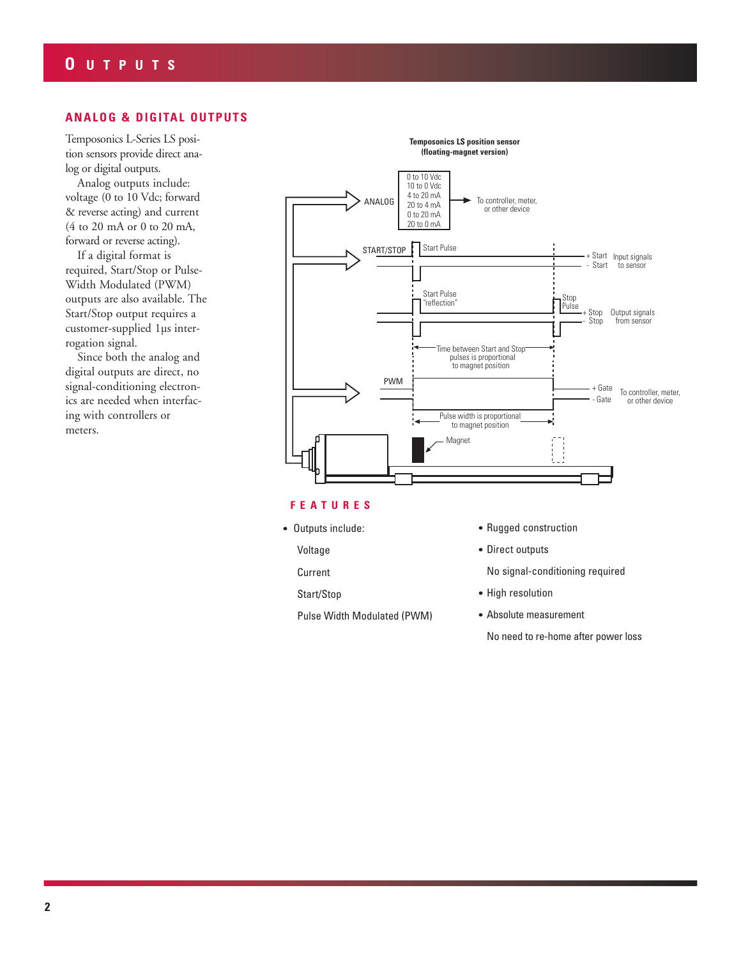## **ANALOG & DIGITAL OUTPUTS**

Temposonics L-Series LS position sensors provide direct analog or digital outputs.

Analog outputs include: voltage (0 to 10 Vdc; forward & reverse acting) and current (4 to 20 mA or 0 to 20 mA, forward or reverse acting).

If a digital format is required, Start/Stop or Pulse-Width Modulated (PWM) outputs are also available. The Start/Stop output requires a customer-supplied 1µs interrogation signal.

Since both the analog and digital outputs are direct, no signal-conditioning electronics are needed when interfacing with controllers or meters.



#### **FEA TURES**

**•** Outputs include:

Voltage

Current

Start/Stop

Pulse Width Modulated (PWM)

- **•** Rugged construction
- **•** Direct outputs

No signal-conditioning required

- **•** High resolution
- **•** Absolute measurement

No need to re-home after power loss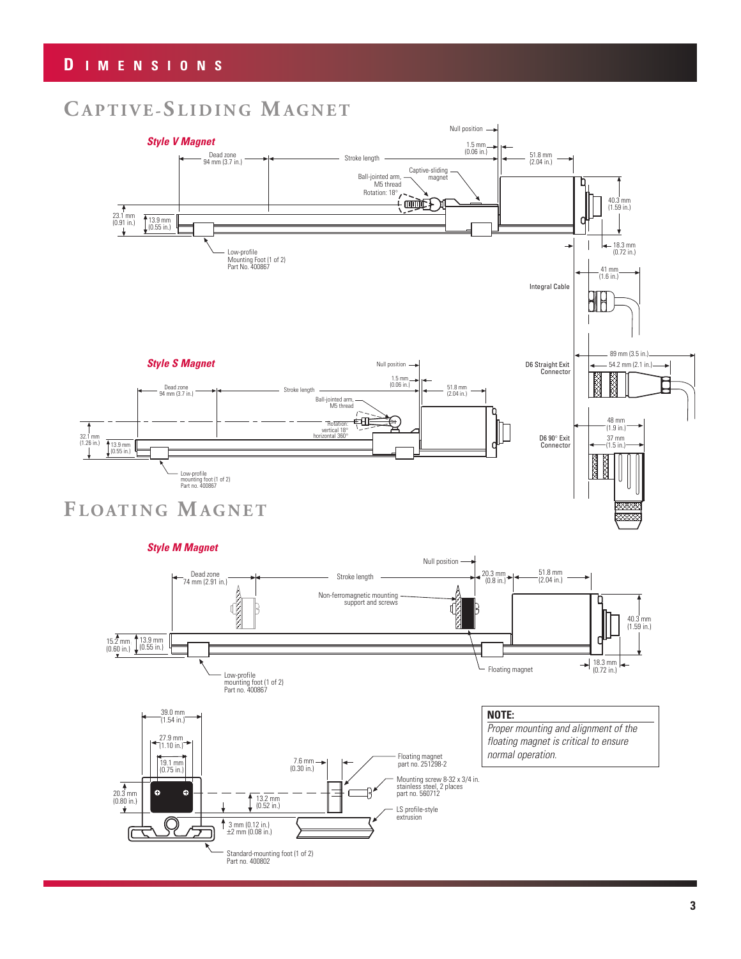# **CAPTIVE-S LIDING MAGNET**

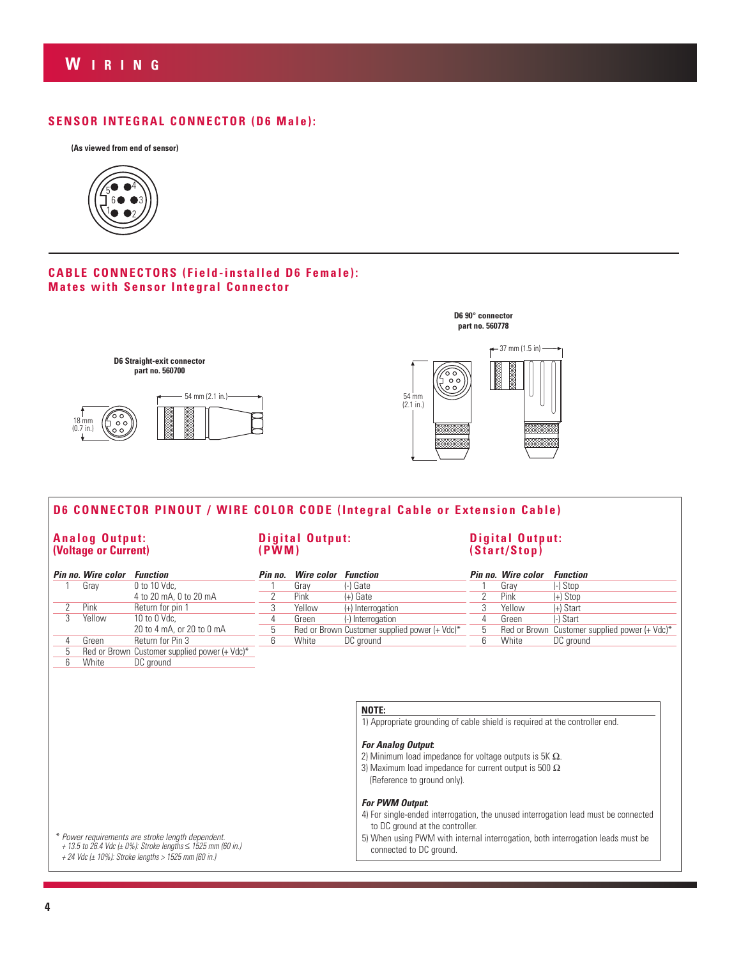## **SENSOR INTEGRAL CONNECTOR (D6 Male):**





### **CABLE CONNECTORS (Field-installed D6 Female): Mates with Sensor Integral Connector**



# **D6 CONNECTOR PINOUT / WIRE COLOR CODE (Integral Cable or Extension Cable)**

#### **Analog Output: (Voltage or Current)**

**Digital Output: (PWM)**

### **Digital Output: (Start/Stop)**

|   | Pin no. Wire color | <b>Function</b>                               | Pin no. | <b>Wire color</b> | <b>Function</b>                                                             |   | Pin no. Wire color | <b>Function</b>                                             |
|---|--------------------|-----------------------------------------------|---------|-------------------|-----------------------------------------------------------------------------|---|--------------------|-------------------------------------------------------------|
|   | Gray               | 0 to 10 Vdc,                                  |         | Grav              | (-) Gate                                                                    |   | Grav               | $(-)$ Stop                                                  |
|   |                    | 4 to 20 mA, 0 to 20 mA                        |         | Pink              | $(+)$ Gate                                                                  |   | Pink               | $(+)$ Stop                                                  |
|   | Pink               | Return for pin 1                              |         | Yellow            | $(+)$ Interrogation                                                         |   | Yellow             | $(+)$ Start                                                 |
|   | Yellow             | 10 to 0 $Vdc.$                                |         | Green             | (-) Interrogation                                                           |   | Green              | (-) Start                                                   |
|   |                    | 20 to 4 mA, or 20 to 0 mA                     | 5       |                   | Red or Brown Customer supplied power (+ Vdc)*                               | 5 |                    | Red or Brown Customer supplied power $(+$ Vdc) <sup>*</sup> |
| 4 | Green              | Return for Pin 3                              | 6       | White             | DC ground                                                                   | 6 | White              | DC ground                                                   |
|   |                    | Red or Brown Customer supplied power (+ Vdc)* |         |                   |                                                                             |   |                    |                                                             |
| 6 | White              | DC ground                                     |         |                   |                                                                             |   |                    |                                                             |
|   |                    |                                               |         |                   |                                                                             |   |                    |                                                             |
|   |                    |                                               |         |                   |                                                                             |   |                    |                                                             |
|   |                    |                                               |         |                   |                                                                             |   |                    |                                                             |
|   |                    |                                               |         |                   | NOTE:                                                                       |   |                    |                                                             |
|   |                    |                                               |         |                   | 1) Appropriate grounding of cable shield is required at the controller end. |   |                    |                                                             |
|   |                    |                                               |         |                   |                                                                             |   |                    |                                                             |

#### **For Analog Output:**

2) Minimum load impedance for voltage outputs is 5K  $Ω$ . 3) Maximum load impedance for current output is 500 Ω

(Reference to ground only).

#### **For PWM Output:**

4) For single-ended interrogation, the unused interrogation lead must be connected to DC ground at the controller.

5) When using PWM with internal interrogation, both interrogation leads must be connected to DC ground.

\* Power requirements are stroke length dependent. + 13.5 to 26.4 Vdc (± 0%): Stroke lengths ≤ 1525 mm (60 in.) + 24 Vdc (± 10%): Stroke lengths > 1525 mm (60 in.)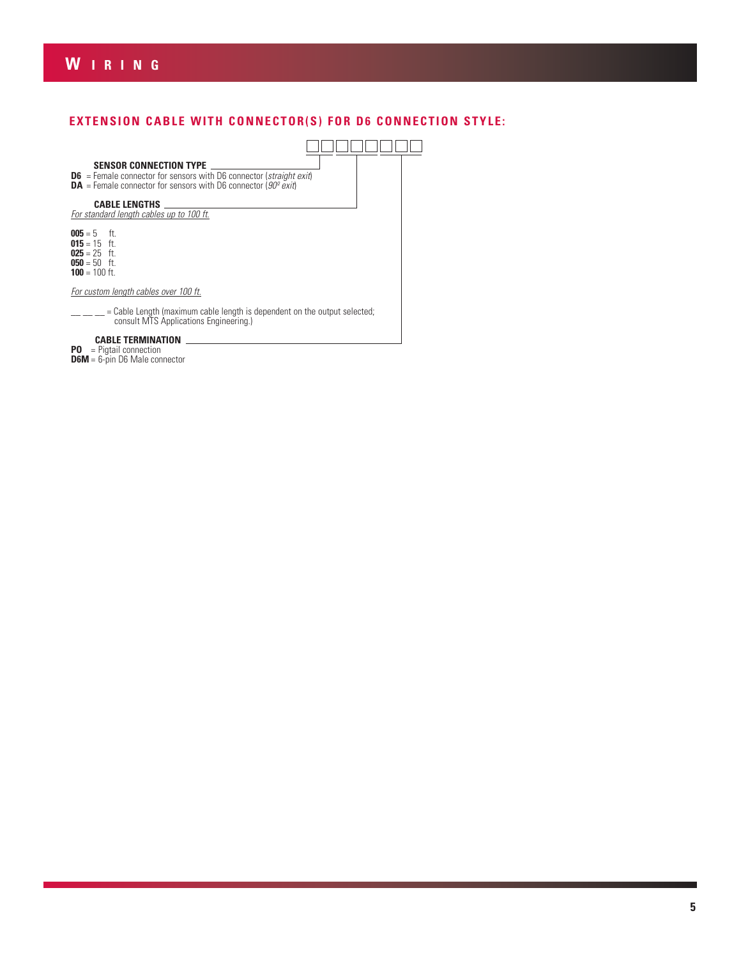# **W IRING**

# **EXTENSION CABLE WITH CONNECTOR(S) FOR D6 CONNECTION STYLE:**

| <b>SENSOR CONNECTION TYPE</b><br><b>D6</b> = Female connector for sensors with D6 connector ( <i>straight exit</i> )<br><b>DA</b> = Female connector for sensors with D6 connector ( $90^\circ$ exit) |
|-------------------------------------------------------------------------------------------------------------------------------------------------------------------------------------------------------|
| <b>CABLE LENGTHS</b><br>For standard length cables up to 100 ft.                                                                                                                                      |
| <b>005</b> = 5 ft.<br><b>015</b> = 15 ft.<br><b>025</b> = 25 ft.<br><b>050</b> = 50 ft.<br><b>100</b> = 100 ft.                                                                                       |
| For custom length cables over 100 ft.                                                                                                                                                                 |
| $=$ Cable Length (maximum cable length is dependent on the output selected;<br>consult MTS Applications Engineering.)                                                                                 |
| <b>CABLE TERMINATION</b>                                                                                                                                                                              |

#### **PO** = Pigtail connection

**D6M** = 6-pin D6 Male connector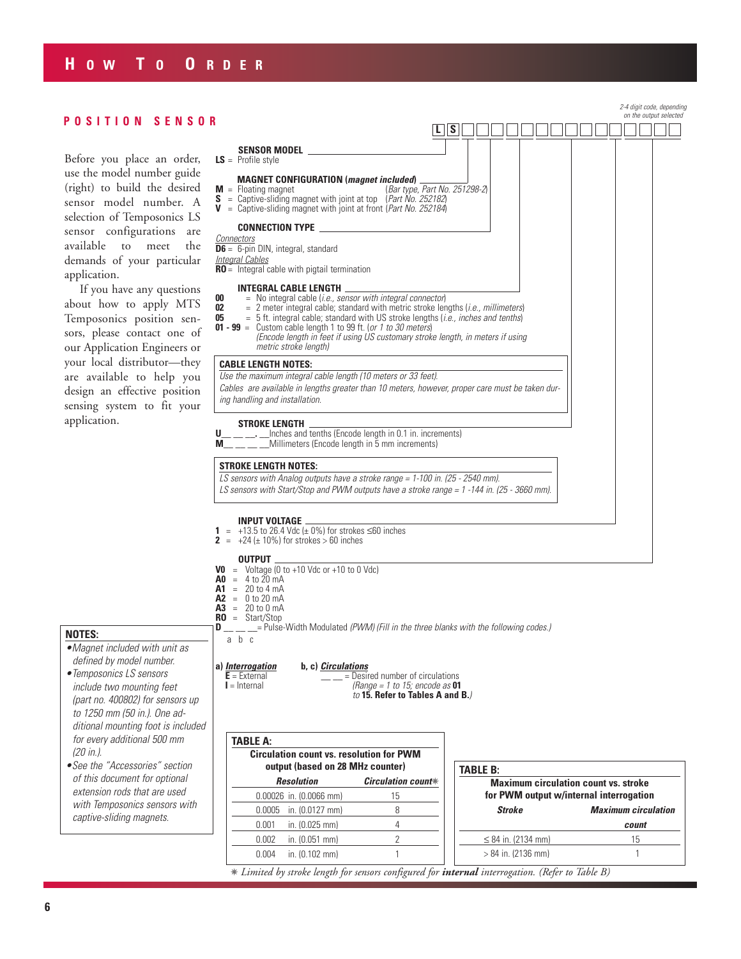# **H OW T O O RDER**

|                                                                                                                                                                                                                                   |                                                                                                                                                                                                                                                                                                                                                                                        |                                   |                                                 |  |     |                 |                         |               |  |  |  |  |  |                                                                                        | 2-4 digit code, depending<br>on the output selected |
|-----------------------------------------------------------------------------------------------------------------------------------------------------------------------------------------------------------------------------------|----------------------------------------------------------------------------------------------------------------------------------------------------------------------------------------------------------------------------------------------------------------------------------------------------------------------------------------------------------------------------------------|-----------------------------------|-------------------------------------------------|--|-----|-----------------|-------------------------|---------------|--|--|--|--|--|----------------------------------------------------------------------------------------|-----------------------------------------------------|
| POSITION SENSOR                                                                                                                                                                                                                   |                                                                                                                                                                                                                                                                                                                                                                                        |                                   |                                                 |  | l S |                 |                         |               |  |  |  |  |  |                                                                                        |                                                     |
| Before you place an order,                                                                                                                                                                                                        | SENSOR MODEL _____________<br>$LS =$ Profile style                                                                                                                                                                                                                                                                                                                                     |                                   |                                                 |  |     |                 |                         |               |  |  |  |  |  |                                                                                        |                                                     |
| use the model number guide<br>(right) to build the desired                                                                                                                                                                        | <b>MAGNET CONFIGURATION</b> ( <i>magnet included</i> )<br>$M =$ Floating magnet                                                                                                                                                                                                                                                                                                        |                                   | (Bar type, Part No. 251298-2)                   |  |     |                 |                         |               |  |  |  |  |  |                                                                                        |                                                     |
| S = Captive-sliding magnet with joint at top $(Part No. 252182)$<br>sensor model number. A<br>V = Captive-sliding magnet with joint at front (Part No. 252184)<br>selection of Temposonics LS<br>CONNECTION TYPE ________________ |                                                                                                                                                                                                                                                                                                                                                                                        |                                   |                                                 |  |     |                 |                         |               |  |  |  |  |  |                                                                                        |                                                     |
| sensor configurations are                                                                                                                                                                                                         | <b>Connectors</b>                                                                                                                                                                                                                                                                                                                                                                      |                                   |                                                 |  |     |                 |                         |               |  |  |  |  |  |                                                                                        |                                                     |
| available<br>to<br>meet<br>the                                                                                                                                                                                                    | <b>D6</b> = 6-pin DIN, integral, standard                                                                                                                                                                                                                                                                                                                                              |                                   |                                                 |  |     |                 |                         |               |  |  |  |  |  |                                                                                        |                                                     |
| demands of your particular<br>application.                                                                                                                                                                                        | <b>Integral Cables</b><br>$RO =$ Integral cable with pigtail termination                                                                                                                                                                                                                                                                                                               |                                   |                                                 |  |     |                 |                         |               |  |  |  |  |  |                                                                                        |                                                     |
| If you have any questions                                                                                                                                                                                                         | <b>INTEGRAL CABLE LENGTH</b><br>$=$ No integral cable (i.e., sensor with integral connector)<br>00                                                                                                                                                                                                                                                                                     |                                   |                                                 |  |     |                 |                         |               |  |  |  |  |  |                                                                                        |                                                     |
| about how to apply MTS<br>Temposonics position sen-<br>sors, please contact one of<br>our Application Engineers or                                                                                                                | 02<br>$= 2$ meter integral cable; standard with metric stroke lengths ( <i>i.e.</i> , millimeters)<br>$=$ 5 ft. integral cable; standard with US stroke lengths ( <i>i.e., inches and tenths</i> )<br>05<br>$01 - 99$ = Custom cable length 1 to 99 ft. (or 1 to 30 meters)<br>(Encode length in feet if using US customary stroke length, in meters if using<br>metric stroke length) |                                   |                                                 |  |     |                 |                         |               |  |  |  |  |  |                                                                                        |                                                     |
| your local distributor-they                                                                                                                                                                                                       | <b>CABLE LENGTH NOTES:</b>                                                                                                                                                                                                                                                                                                                                                             |                                   |                                                 |  |     |                 |                         |               |  |  |  |  |  |                                                                                        |                                                     |
| are available to help you                                                                                                                                                                                                         | Use the maximum integral cable length (10 meters or 33 feet).                                                                                                                                                                                                                                                                                                                          |                                   |                                                 |  |     |                 |                         |               |  |  |  |  |  |                                                                                        |                                                     |
| design an effective position<br>sensing system to fit your                                                                                                                                                                        | Cables are available in lengths greater than 10 meters, however, proper care must be taken dur-<br>ing handling and installation.                                                                                                                                                                                                                                                      |                                   |                                                 |  |     |                 |                         |               |  |  |  |  |  |                                                                                        |                                                     |
| application.                                                                                                                                                                                                                      |                                                                                                                                                                                                                                                                                                                                                                                        | <b>STROKE LENGTH .</b>            |                                                 |  |     |                 |                         |               |  |  |  |  |  |                                                                                        |                                                     |
|                                                                                                                                                                                                                                   | __ __. __Inches and tenths (Encode length in 0.1 in. increments)<br>U<br>$\sqrt{a}$ Millimeters (Encode length in 5 mm increments)                                                                                                                                                                                                                                                     |                                   |                                                 |  |     |                 |                         |               |  |  |  |  |  |                                                                                        |                                                     |
|                                                                                                                                                                                                                                   | STROKE LENGTH NOTES:                                                                                                                                                                                                                                                                                                                                                                   |                                   |                                                 |  |     |                 |                         |               |  |  |  |  |  |                                                                                        |                                                     |
|                                                                                                                                                                                                                                   | LS sensors with Analog outputs have a stroke range = $1-100$ in. (25 - 2540 mm).<br>LS sensors with Start/Stop and PWM outputs have a stroke range = 1 -144 in. (25 - 3660 mm).                                                                                                                                                                                                        |                                   |                                                 |  |     |                 |                         |               |  |  |  |  |  |                                                                                        |                                                     |
|                                                                                                                                                                                                                                   | <b>INPUT VOLTAGE</b>                                                                                                                                                                                                                                                                                                                                                                   |                                   |                                                 |  |     |                 |                         |               |  |  |  |  |  |                                                                                        |                                                     |
|                                                                                                                                                                                                                                   | 1 = +13.5 to 26.4 Vdc ( $\pm$ 0%) for strokes $\leq$ 60 inches<br><b>2</b> = $+24 \pm 10\%$ for strokes > 60 inches                                                                                                                                                                                                                                                                    |                                   |                                                 |  |     |                 |                         |               |  |  |  |  |  |                                                                                        |                                                     |
|                                                                                                                                                                                                                                   | <b>OUTPUT</b><br><b>V0</b> = Voltage (0 to +10 Vdc or +10 to 0 Vdc)<br>$A0 = 4 to 20 mA$                                                                                                                                                                                                                                                                                               |                                   |                                                 |  |     |                 |                         |               |  |  |  |  |  |                                                                                        |                                                     |
|                                                                                                                                                                                                                                   | $A1 = 20$ to 4 mA                                                                                                                                                                                                                                                                                                                                                                      |                                   |                                                 |  |     |                 |                         |               |  |  |  |  |  |                                                                                        |                                                     |
|                                                                                                                                                                                                                                   | $A2 = 0$ to 20 mA<br>$A3 = 20 \text{ to } 0 \text{ mA}$                                                                                                                                                                                                                                                                                                                                |                                   |                                                 |  |     |                 |                         |               |  |  |  |  |  |                                                                                        |                                                     |
|                                                                                                                                                                                                                                   | $\mathbf{R0}$ = Start/Stop                                                                                                                                                                                                                                                                                                                                                             |                                   |                                                 |  |     |                 |                         |               |  |  |  |  |  |                                                                                        |                                                     |
| <b>NOTES:</b>                                                                                                                                                                                                                     | a b c                                                                                                                                                                                                                                                                                                                                                                                  |                                   |                                                 |  |     |                 |                         |               |  |  |  |  |  |                                                                                        |                                                     |
| •Magnet included with unit as<br>defined by model number.                                                                                                                                                                         |                                                                                                                                                                                                                                                                                                                                                                                        |                                   |                                                 |  |     |                 |                         |               |  |  |  |  |  |                                                                                        |                                                     |
| • Temposonics LS sensors                                                                                                                                                                                                          | a) <i>Interrogation</i><br>$E =$ External                                                                                                                                                                                                                                                                                                                                              | b, c) <i>Circulations</i>         | $=$ Desired number of circulations              |  |     |                 |                         |               |  |  |  |  |  |                                                                                        |                                                     |
| include two mounting feet                                                                                                                                                                                                         | $I =$ Internal                                                                                                                                                                                                                                                                                                                                                                         |                                   | (Range = 1 to 15; encode as $01$                |  |     |                 |                         |               |  |  |  |  |  |                                                                                        |                                                     |
| (part no. 400802) for sensors up                                                                                                                                                                                                  |                                                                                                                                                                                                                                                                                                                                                                                        |                                   | to 15. Refer to Tables A and B.                 |  |     |                 |                         |               |  |  |  |  |  |                                                                                        |                                                     |
| to 1250 mm (50 in.). One ad-                                                                                                                                                                                                      |                                                                                                                                                                                                                                                                                                                                                                                        |                                   |                                                 |  |     |                 |                         |               |  |  |  |  |  |                                                                                        |                                                     |
| ditional mounting foot is included                                                                                                                                                                                                |                                                                                                                                                                                                                                                                                                                                                                                        |                                   |                                                 |  |     |                 |                         |               |  |  |  |  |  |                                                                                        |                                                     |
| for every additional 500 mm<br>$(20 \text{ in.})$ .                                                                                                                                                                               | <b>TABLE A:</b>                                                                                                                                                                                                                                                                                                                                                                        |                                   |                                                 |  |     |                 |                         |               |  |  |  |  |  |                                                                                        |                                                     |
| • See the "Accessories" section                                                                                                                                                                                                   |                                                                                                                                                                                                                                                                                                                                                                                        |                                   | <b>Circulation count vs. resolution for PWM</b> |  |     |                 |                         |               |  |  |  |  |  |                                                                                        |                                                     |
| of this document for optional                                                                                                                                                                                                     |                                                                                                                                                                                                                                                                                                                                                                                        | output (based on 28 MHz counter)  |                                                 |  |     | <b>TABLE B:</b> |                         |               |  |  |  |  |  |                                                                                        |                                                     |
| extension rods that are used                                                                                                                                                                                                      | <b>Resolution</b><br>0.00026 in. (0.0066 mm)                                                                                                                                                                                                                                                                                                                                           |                                   | <b>Circulation count*</b><br>15                 |  |     |                 |                         |               |  |  |  |  |  | <b>Maximum circulation count vs. stroke</b><br>for PWM output w/internal interrogation |                                                     |
| with Temposonics sensors with                                                                                                                                                                                                     |                                                                                                                                                                                                                                                                                                                                                                                        |                                   | 8                                               |  |     |                 |                         | <b>Stroke</b> |  |  |  |  |  | <b>Maximum circulation</b>                                                             |                                                     |
| captive-sliding magnets.                                                                                                                                                                                                          | 0.0005<br>0.001                                                                                                                                                                                                                                                                                                                                                                        | in. (0.0127 mm)<br>in. (0.025 mm) | 4                                               |  |     |                 |                         |               |  |  |  |  |  | count                                                                                  |                                                     |
|                                                                                                                                                                                                                                   | 0.002                                                                                                                                                                                                                                                                                                                                                                                  | in. (0.051 mm)                    | $\overline{2}$                                  |  |     |                 | $\leq 84$ in. (2134 mm) |               |  |  |  |  |  | 15                                                                                     |                                                     |
|                                                                                                                                                                                                                                   |                                                                                                                                                                                                                                                                                                                                                                                        |                                   |                                                 |  |     |                 |                         |               |  |  |  |  |  |                                                                                        |                                                     |

✵ *Limited by stroke length for sensors configured for internal interrogation. (Refer to Table B)*

0.004 in. (0.102 mm) 1

 $> 84$  in. (2136 mm) 1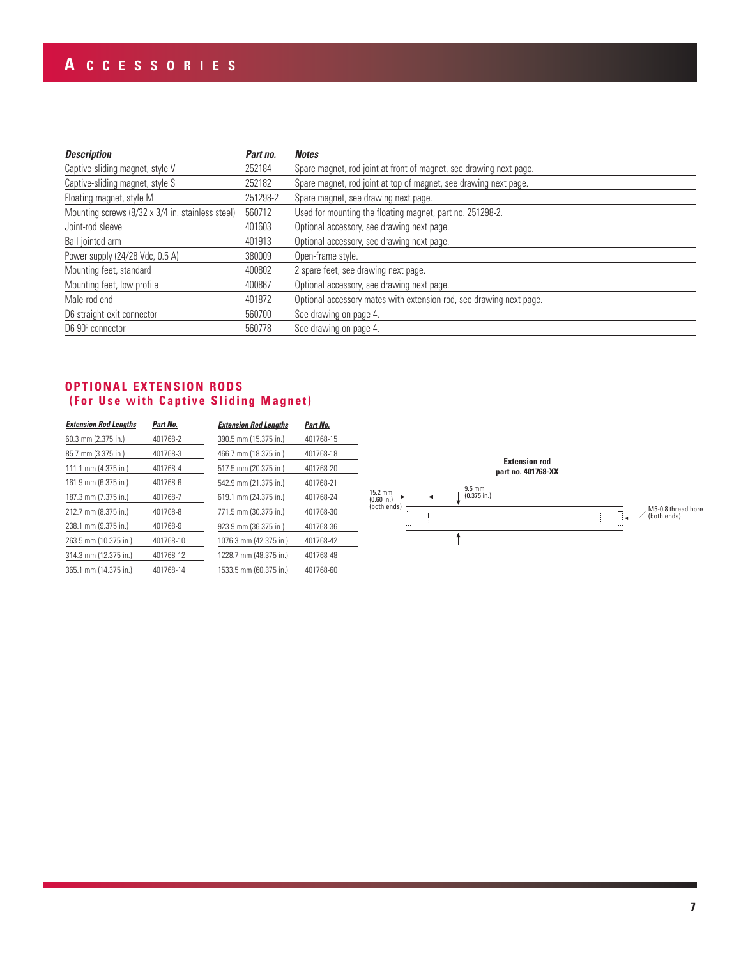# **A CCESSORIES**

| <b>Description</b>                               | Part no. | <b>Notes</b>                                                        |  |  |  |  |
|--------------------------------------------------|----------|---------------------------------------------------------------------|--|--|--|--|
| Captive-sliding magnet, style V                  | 252184   | Spare magnet, rod joint at front of magnet, see drawing next page.  |  |  |  |  |
| Captive-sliding magnet, style S                  | 252182   | Spare magnet, rod joint at top of magnet, see drawing next page.    |  |  |  |  |
| Floating magnet, style M                         | 251298-2 | Spare magnet, see drawing next page.                                |  |  |  |  |
| Mounting screws (8/32 x 3/4 in. stainless steel) | 560712   | Used for mounting the floating magnet, part no. 251298-2.           |  |  |  |  |
| Joint-rod sleeve                                 | 401603   | Optional accessory, see drawing next page.                          |  |  |  |  |
| Ball jointed arm                                 | 401913   | Optional accessory, see drawing next page.                          |  |  |  |  |
| Power supply (24/28 Vdc, 0.5 A)                  | 380009   | Open-frame style.                                                   |  |  |  |  |
| Mounting feet, standard                          | 400802   | 2 spare feet, see drawing next page.                                |  |  |  |  |
| Mounting feet, low profile                       | 400867   | Optional accessory, see drawing next page.                          |  |  |  |  |
| Male-rod end                                     | 401872   | Optional accessory mates with extension rod, see drawing next page. |  |  |  |  |
| D6 straight-exit connector                       | 560700   | See drawing on page 4.                                              |  |  |  |  |
| D6 90 <sup>°</sup> connector                     | 560778   | See drawing on page 4.                                              |  |  |  |  |

### **OPTIONAL EXTENSION RODS (For Use with Captive Sliding Magnet)**